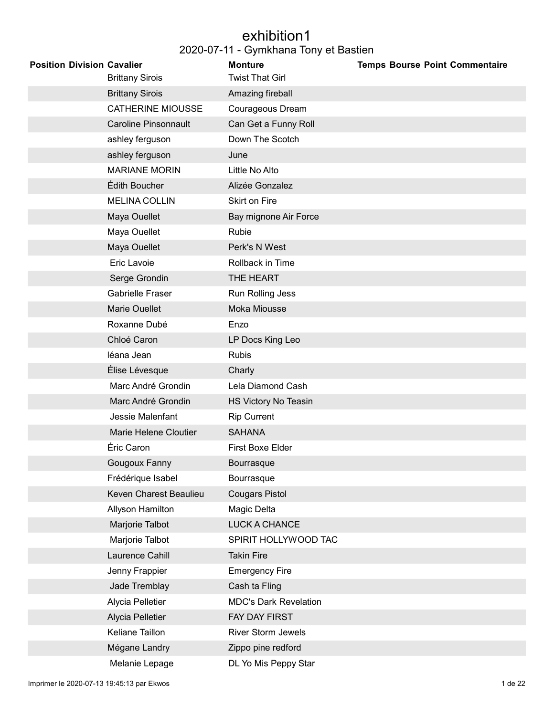#### exhibition1 2020-07-11 - Gymkhana Tony et Bastien

| <b>Position Division Cavalier</b> | <b>Brittany Sirois</b>      | <b>Monture</b><br><b>Twist That Girl</b> | <b>Temps Bourse Point Commentaire</b> |
|-----------------------------------|-----------------------------|------------------------------------------|---------------------------------------|
|                                   | <b>Brittany Sirois</b>      | Amazing fireball                         |                                       |
|                                   | <b>CATHERINE MIOUSSE</b>    | Courageous Dream                         |                                       |
|                                   | <b>Caroline Pinsonnault</b> | Can Get a Funny Roll                     |                                       |
|                                   | ashley ferguson             | Down The Scotch                          |                                       |
|                                   | ashley ferguson             | June                                     |                                       |
|                                   | <b>MARIANE MORIN</b>        | Little No Alto                           |                                       |
|                                   | Édith Boucher               | Alizée Gonzalez                          |                                       |
|                                   | <b>MELINA COLLIN</b>        | Skirt on Fire                            |                                       |
|                                   | Maya Ouellet                | Bay mignone Air Force                    |                                       |
|                                   | Maya Ouellet                | Rubie                                    |                                       |
|                                   | Maya Ouellet                | Perk's N West                            |                                       |
|                                   | Eric Lavoie                 | Rollback in Time                         |                                       |
|                                   | Serge Grondin               | THE HEART                                |                                       |
|                                   | <b>Gabrielle Fraser</b>     | Run Rolling Jess                         |                                       |
|                                   | <b>Marie Ouellet</b>        | Moka Miousse                             |                                       |
|                                   | Roxanne Dubé                | Enzo                                     |                                       |
|                                   | Chloé Caron                 | LP Docs King Leo                         |                                       |
|                                   | léana Jean                  | <b>Rubis</b>                             |                                       |
|                                   | Élise Lévesque              | Charly                                   |                                       |
|                                   | Marc André Grondin          | Lela Diamond Cash                        |                                       |
|                                   | Marc André Grondin          | HS Victory No Teasin                     |                                       |
|                                   | Jessie Malenfant            | <b>Rip Current</b>                       |                                       |
|                                   | Marie Helene Cloutier       | <b>SAHANA</b>                            |                                       |
|                                   | Éric Caron                  | First Boxe Elder                         |                                       |
|                                   | Gougoux Fanny               | Bourrasque                               |                                       |
|                                   | Frédérique Isabel           | Bourrasque                               |                                       |
|                                   | Keven Charest Beaulieu      | <b>Cougars Pistol</b>                    |                                       |
|                                   | Allyson Hamilton            | Magic Delta                              |                                       |
|                                   | Marjorie Talbot             | LUCK A CHANCE                            |                                       |
|                                   | Marjorie Talbot             | SPIRIT HOLLYWOOD TAC                     |                                       |
|                                   | Laurence Cahill             | <b>Takin Fire</b>                        |                                       |
|                                   | Jenny Frappier              | <b>Emergency Fire</b>                    |                                       |
|                                   | Jade Tremblay               | Cash ta Fling                            |                                       |
|                                   | Alycia Pelletier            | <b>MDC's Dark Revelation</b>             |                                       |
|                                   | Alycia Pelletier            | FAY DAY FIRST                            |                                       |
|                                   | Keliane Taillon             | <b>River Storm Jewels</b>                |                                       |
|                                   | Mégane Landry               | Zippo pine redford                       |                                       |
|                                   | Melanie Lepage              | DL Yo Mis Peppy Star                     |                                       |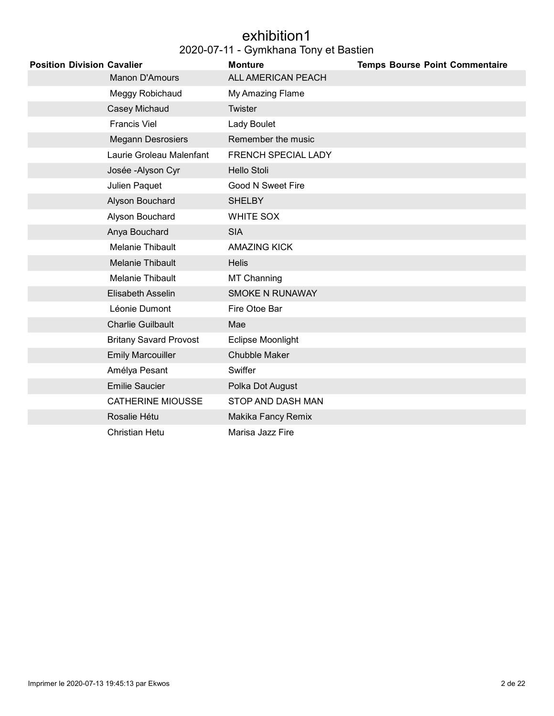#### exhibition1 2020-07-11 - Gymkhana Tony et Bastien

| <b>Position Division Cavalier</b> |                               | <b>Monture</b>         | <b>Temps Bourse Point Commentaire</b> |
|-----------------------------------|-------------------------------|------------------------|---------------------------------------|
|                                   | Manon D'Amours                | ALL AMERICAN PEACH     |                                       |
|                                   | Meggy Robichaud               | My Amazing Flame       |                                       |
|                                   | Casey Michaud                 | <b>Twister</b>         |                                       |
|                                   | <b>Francis Viel</b>           | <b>Lady Boulet</b>     |                                       |
|                                   | <b>Megann Desrosiers</b>      | Remember the music     |                                       |
|                                   | Laurie Groleau Malenfant      | FRENCH SPECIAL LADY    |                                       |
|                                   | Josée - Alyson Cyr            | <b>Hello Stoli</b>     |                                       |
|                                   | Julien Paquet                 | Good N Sweet Fire      |                                       |
|                                   | Alyson Bouchard               | <b>SHELBY</b>          |                                       |
|                                   | Alyson Bouchard               | <b>WHITE SOX</b>       |                                       |
|                                   | Anya Bouchard                 | <b>SIA</b>             |                                       |
|                                   | Melanie Thibault              | <b>AMAZING KICK</b>    |                                       |
|                                   | Melanie Thibault              | <b>Helis</b>           |                                       |
|                                   | Melanie Thibault              | MT Channing            |                                       |
|                                   | Elisabeth Asselin             | <b>SMOKE N RUNAWAY</b> |                                       |
|                                   | Léonie Dumont                 | Fire Otoe Bar          |                                       |
|                                   | <b>Charlie Guilbault</b>      | Mae                    |                                       |
|                                   | <b>Britany Savard Provost</b> | Eclipse Moonlight      |                                       |
|                                   | <b>Emily Marcouiller</b>      | Chubble Maker          |                                       |
|                                   | Amélya Pesant                 | Swiffer                |                                       |
|                                   | <b>Emilie Saucier</b>         | Polka Dot August       |                                       |
|                                   | <b>CATHERINE MIOUSSE</b>      | STOP AND DASH MAN      |                                       |
|                                   | Rosalie Hétu                  | Makika Fancy Remix     |                                       |
|                                   | Christian Hetu                | Marisa Jazz Fire       |                                       |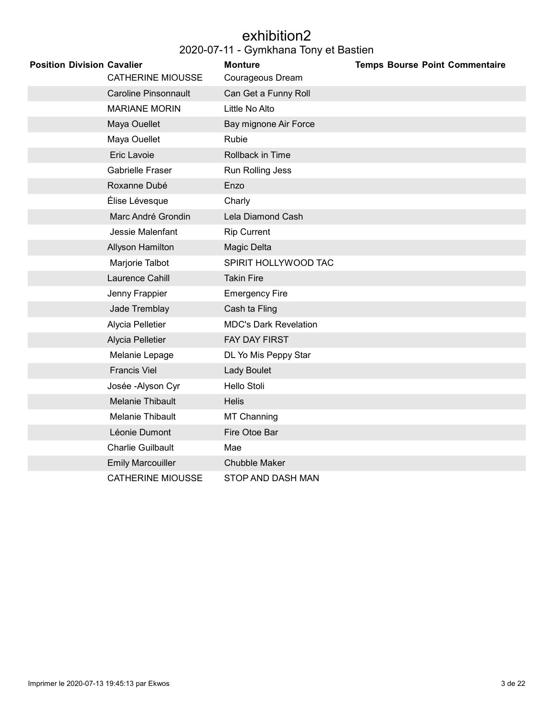### exhibition2

| <b>Position Division Cavalier</b> |                             | <b>Monture</b>               | <b>Temps Bourse Point Commentaire</b> |
|-----------------------------------|-----------------------------|------------------------------|---------------------------------------|
|                                   | <b>CATHERINE MIOUSSE</b>    | Courageous Dream             |                                       |
|                                   | <b>Caroline Pinsonnault</b> | Can Get a Funny Roll         |                                       |
|                                   | <b>MARIANE MORIN</b>        | Little No Alto               |                                       |
|                                   | Maya Ouellet                | Bay mignone Air Force        |                                       |
|                                   | Maya Ouellet                | Rubie                        |                                       |
|                                   | <b>Eric Lavoie</b>          | Rollback in Time             |                                       |
|                                   | Gabrielle Fraser            | Run Rolling Jess             |                                       |
|                                   | Roxanne Dubé                | Enzo                         |                                       |
|                                   | Élise Lévesque              | Charly                       |                                       |
|                                   | Marc André Grondin          | Lela Diamond Cash            |                                       |
|                                   | Jessie Malenfant            | <b>Rip Current</b>           |                                       |
|                                   | Allyson Hamilton            | Magic Delta                  |                                       |
|                                   | Marjorie Talbot             | SPIRIT HOLLYWOOD TAC         |                                       |
|                                   | Laurence Cahill             | <b>Takin Fire</b>            |                                       |
|                                   | Jenny Frappier              | <b>Emergency Fire</b>        |                                       |
|                                   | Jade Tremblay               | Cash ta Fling                |                                       |
|                                   | Alycia Pelletier            | <b>MDC's Dark Revelation</b> |                                       |
|                                   | Alycia Pelletier            | <b>FAY DAY FIRST</b>         |                                       |
|                                   | Melanie Lepage              | DL Yo Mis Peppy Star         |                                       |
|                                   | <b>Francis Viel</b>         | Lady Boulet                  |                                       |
|                                   | Josée - Alyson Cyr          | Hello Stoli                  |                                       |
|                                   | <b>Melanie Thibault</b>     | <b>Helis</b>                 |                                       |
|                                   | Melanie Thibault            | <b>MT Channing</b>           |                                       |
|                                   | Léonie Dumont               | Fire Otoe Bar                |                                       |
|                                   | <b>Charlie Guilbault</b>    | Mae                          |                                       |
|                                   | <b>Emily Marcouiller</b>    | <b>Chubble Maker</b>         |                                       |
|                                   | <b>CATHERINE MIOUSSE</b>    | STOP AND DASH MAN            |                                       |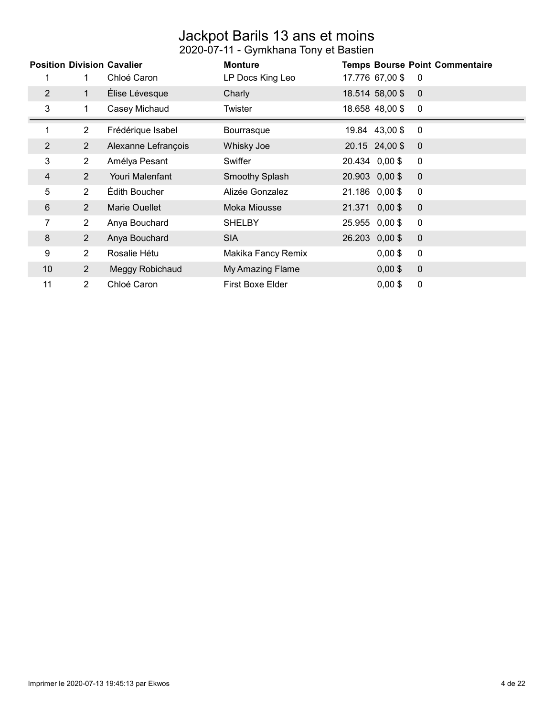#### Jackpot Barils 13 ans et moins 2020-07-11 - Gymkhana Tony et Bastien

|                | <b>Position Division Cavalier</b> | Chloé Caron         | <b>Monture</b><br>LP Docs King Leo | 17.776 67,00 \$ | <b>Temps Bourse Point Commentaire</b><br>0 |
|----------------|-----------------------------------|---------------------|------------------------------------|-----------------|--------------------------------------------|
| 2              | $\mathbf{1}$                      | Élise Lévesque      | Charly                             | 18.514 58,00 \$ | $\overline{0}$                             |
| 3              | 1                                 | Casey Michaud       | Twister                            | 18.658 48,00 \$ | $\mathbf 0$                                |
| 1              | $\overline{2}$                    | Frédérique Isabel   | <b>Bourrasque</b>                  | 19.84 43,00 \$  | $\mathbf 0$                                |
| $\overline{2}$ | $\overline{2}$                    | Alexanne Lefrançois | Whisky Joe                         | 20.15 24,00 \$  | $\overline{0}$                             |
| 3              | $\overline{2}$                    | Amélya Pesant       | Swiffer                            | 20.434 0,00 \$  | $\mathbf 0$                                |
| 4              | $\overline{2}$                    | Youri Malenfant     | <b>Smoothy Splash</b>              | 20.903 0,00 \$  | $\mathbf 0$                                |
| 5              | $\overline{2}$                    | Édith Boucher       | Alizée Gonzalez                    | 21.186 0,00\$   | $\mathbf 0$                                |
| 6              | $\overline{2}$                    | Marie Ouellet       | Moka Miousse                       | 21.371 0,00 \$  | $\overline{0}$                             |
| 7              | $\overline{2}$                    | Anya Bouchard       | <b>SHELBY</b>                      | 25.955 0,00 \$  | 0                                          |
| 8              | $\overline{2}$                    | Anya Bouchard       | <b>SIA</b>                         | 26.203 0,00 \$  | $\mathbf 0$                                |
| 9              | $\overline{2}$                    | Rosalie Hétu        | Makika Fancy Remix                 | $0,00$ \$       | $\mathbf 0$                                |
| 10             | $\overline{2}$                    | Meggy Robichaud     | My Amazing Flame                   | $0,00$ \$       | $\mathbf 0$                                |
| 11             | $\overline{2}$                    | Chloé Caron         | First Boxe Elder                   | $0,00$ \$       | $\mathbf 0$                                |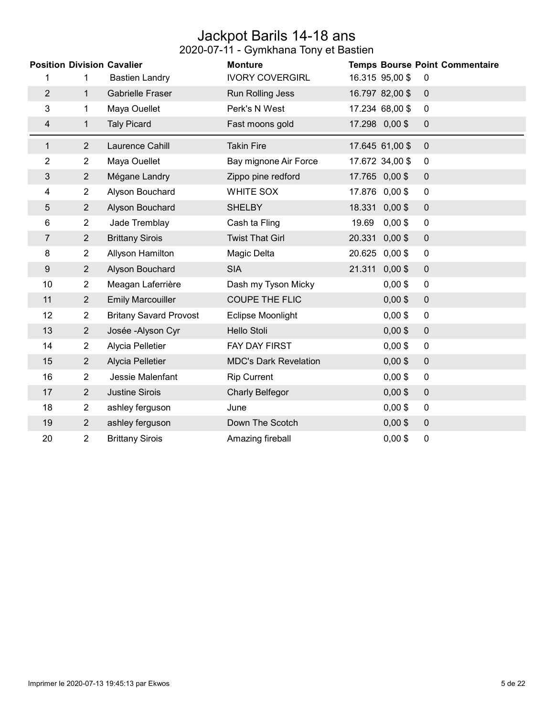### Jackpot Barils 14-18 ans

|                  |                | <b>Position Division Cavalier</b> | <b>Monture</b>               |        |                 | <b>Temps Bourse Point Commentaire</b> |
|------------------|----------------|-----------------------------------|------------------------------|--------|-----------------|---------------------------------------|
| 1                | 1              | <b>Bastien Landry</b>             | <b>IVORY COVERGIRL</b>       |        | 16.315 95,00 \$ | $\mathbf 0$                           |
| $\overline{2}$   | $\mathbf{1}$   | <b>Gabrielle Fraser</b>           | Run Rolling Jess             |        | 16.797 82,00 \$ | $\pmb{0}$                             |
| 3                | 1              | Maya Ouellet                      | Perk's N West                |        | 17.234 68,00 \$ | $\mathbf 0$                           |
| 4                | $\mathbf 1$    | <b>Taly Picard</b>                | Fast moons gold              |        | 17.298 0,00 \$  | $\pmb{0}$                             |
| $\mathbf{1}$     | $\overline{2}$ | Laurence Cahill                   | <b>Takin Fire</b>            |        | 17.645 61,00 \$ | $\mathbf 0$                           |
| 2                | $\overline{2}$ | Maya Ouellet                      | Bay mignone Air Force        |        | 17.672 34,00 \$ | $\pmb{0}$                             |
| 3                | $\overline{2}$ | Mégane Landry                     | Zippo pine redford           |        | 17.765 0,00 \$  | $\pmb{0}$                             |
| 4                | $\overline{2}$ | Alyson Bouchard                   | <b>WHITE SOX</b>             |        | 17.876 0,00 \$  | $\pmb{0}$                             |
| 5                | $\overline{2}$ | Alyson Bouchard                   | <b>SHELBY</b>                | 18.331 | $0,00$ \$       | $\pmb{0}$                             |
| 6                | $\overline{2}$ | Jade Tremblay                     | Cash ta Fling                | 19.69  | $0,00$ \$       | $\pmb{0}$                             |
| 7                | $\overline{2}$ | <b>Brittany Sirois</b>            | <b>Twist That Girl</b>       | 20.331 | $0,00$ \$       | $\pmb{0}$                             |
| 8                | $\overline{2}$ | Allyson Hamilton                  | Magic Delta                  |        | 20.625 0,00 \$  | $\pmb{0}$                             |
| $\boldsymbol{9}$ | $\overline{2}$ | Alyson Bouchard                   | <b>SIA</b>                   | 21.311 | $0,00$ \$       | $\pmb{0}$                             |
| 10               | $\overline{2}$ | Meagan Laferrière                 | Dash my Tyson Micky          |        | $0,00$ \$       | $\pmb{0}$                             |
| 11               | $\overline{2}$ | <b>Emily Marcouiller</b>          | <b>COUPE THE FLIC</b>        |        | $0,00$ \$       | $\pmb{0}$                             |
| 12               | $\overline{2}$ | <b>Britany Savard Provost</b>     | Eclipse Moonlight            |        | $0,00$ \$       | $\pmb{0}$                             |
| 13               | $\overline{2}$ | Josée - Alyson Cyr                | Hello Stoli                  |        | $0,00$ \$       | $\pmb{0}$                             |
| 14               | $\overline{2}$ | Alycia Pelletier                  | FAY DAY FIRST                |        | $0,00$ \$       | $\pmb{0}$                             |
| 15               | $\overline{2}$ | Alycia Pelletier                  | <b>MDC's Dark Revelation</b> |        | $0,00$ \$       | $\pmb{0}$                             |
| 16               | $\overline{2}$ | Jessie Malenfant                  | <b>Rip Current</b>           |        | $0,00$ \$       | $\pmb{0}$                             |
| 17               | $\overline{2}$ | <b>Justine Sirois</b>             | <b>Charly Belfegor</b>       |        | $0,00$ \$       | $\pmb{0}$                             |
| 18               | $\overline{2}$ | ashley ferguson                   | June                         |        | $0,00$ \$       | $\pmb{0}$                             |
| 19               | $\overline{2}$ | ashley ferguson                   | Down The Scotch              |        | $0,00$ \$       | $\pmb{0}$                             |
| 20               | 2              | <b>Brittany Sirois</b>            | Amazing fireball             |        | $0,00$ \$       | $\pmb{0}$                             |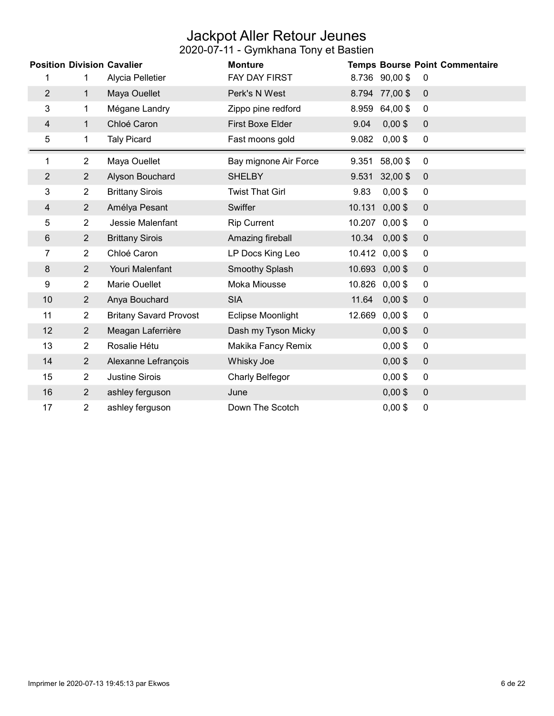### Jackpot Aller Retour Jeunes

|                |                | <b>Position Division Cavalier</b> | <b>Monture</b>          |        |                | <b>Temps Bourse Point Commentaire</b> |
|----------------|----------------|-----------------------------------|-------------------------|--------|----------------|---------------------------------------|
| 1              | 1              | Alycia Pelletier                  | FAY DAY FIRST           |        | 8.736 90,00 \$ | 0                                     |
| $\overline{2}$ | 1              | Maya Ouellet                      | Perk's N West           | 8.794  | 77,00\$        | $\mathbf 0$                           |
| 3              | 1              | Mégane Landry                     | Zippo pine redford      | 8.959  | 64,00 \$       | $\mathbf 0$                           |
| $\overline{4}$ | 1              | Chloé Caron                       | <b>First Boxe Elder</b> | 9.04   | $0,00$ \$      | $\pmb{0}$                             |
| 5              | 1              | <b>Taly Picard</b>                | Fast moons gold         | 9.082  | $0,00$ \$      | $\mathbf 0$                           |
| 1              | $\overline{2}$ | Maya Ouellet                      | Bay mignone Air Force   | 9.351  | 58,00\$        | $\pmb{0}$                             |
| $\overline{2}$ | $\overline{2}$ | Alyson Bouchard                   | <b>SHELBY</b>           | 9.531  | 32,00 \$       | $\pmb{0}$                             |
| 3              | $\overline{2}$ | <b>Brittany Sirois</b>            | <b>Twist That Girl</b>  | 9.83   | $0,00$ \$      | $\mathbf 0$                           |
| 4              | $\overline{2}$ | Amélya Pesant                     | Swiffer                 | 10.131 | $0,00$ \$      | $\mathbf 0$                           |
| 5              | $\overline{2}$ | Jessie Malenfant                  | <b>Rip Current</b>      | 10.207 | $0,00$ \$      | 0                                     |
| $\,6$          | $\overline{2}$ | <b>Brittany Sirois</b>            | Amazing fireball        | 10.34  | $0,00$ \$      | $\pmb{0}$                             |
| 7              | $\overline{2}$ | Chloé Caron                       | LP Docs King Leo        |        | 10.412 0,00 \$ | 0                                     |
| 8              | $\overline{2}$ | Youri Malenfant                   | Smoothy Splash          |        | 10.693 0,00 \$ | $\pmb{0}$                             |
| 9              | $\overline{2}$ | Marie Ouellet                     | Moka Miousse            |        | 10.826 0,00 \$ | 0                                     |
| 10             | $\overline{2}$ | Anya Bouchard                     | <b>SIA</b>              | 11.64  | $0,00$ \$      | $\pmb{0}$                             |
| 11             | $\overline{2}$ | <b>Britany Savard Provost</b>     | Eclipse Moonlight       | 12.669 | $0,00$ \$      | 0                                     |
| 12             | $\overline{2}$ | Meagan Laferrière                 | Dash my Tyson Micky     |        | $0,00$ \$      | $\pmb{0}$                             |
| 13             | $\overline{2}$ | Rosalie Hétu                      | Makika Fancy Remix      |        | $0,00$ \$      | 0                                     |
| 14             | $\overline{2}$ | Alexanne Lefrançois               | Whisky Joe              |        | $0,00$ \$      | $\mathbf 0$                           |
| 15             | $\overline{2}$ | <b>Justine Sirois</b>             | Charly Belfegor         |        | $0,00$ \$      | 0                                     |
| 16             | $\overline{2}$ | ashley ferguson                   | June                    |        | $0,00$ \$      | $\pmb{0}$                             |
| 17             | 2              | ashley ferguson                   | Down The Scotch         |        | $0,00$ \$      | 0                                     |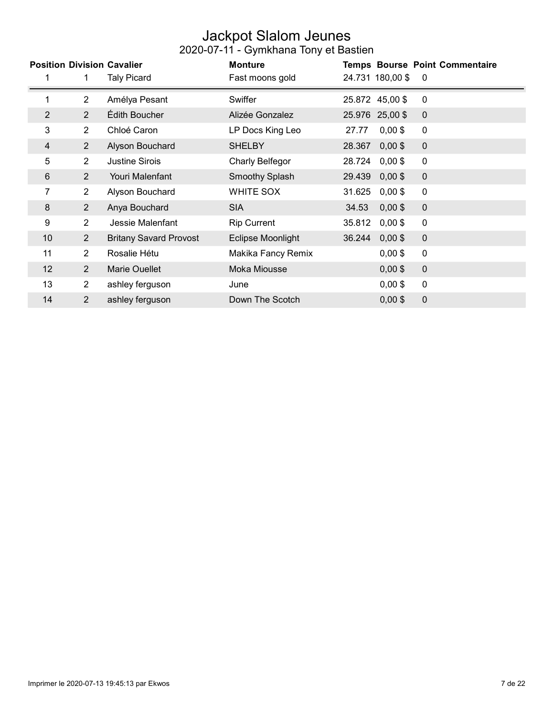### Jackpot Slalom Jeunes

|                |                | <b>Position Division Cavalier</b> | <b>Monture</b>     |        |                  | <b>Temps Bourse Point Commentaire</b> |
|----------------|----------------|-----------------------------------|--------------------|--------|------------------|---------------------------------------|
|                |                | <b>Taly Picard</b>                | Fast moons gold    |        | 24.731 180,00 \$ | $\mathbf 0$                           |
| $\mathbf{1}$   | $\overline{2}$ | Amélya Pesant                     | Swiffer            |        | 25.872 45,00 \$  | 0                                     |
| $\overline{2}$ | $\overline{2}$ | Édith Boucher                     | Alizée Gonzalez    |        | 25.976 25,00 \$  | $\mathbf 0$                           |
| 3              | $\overline{2}$ | Chloé Caron                       | LP Docs King Leo   | 27.77  | $0,00$ \$        | $\boldsymbol{0}$                      |
| 4              | $\overline{2}$ | Alyson Bouchard                   | <b>SHELBY</b>      | 28.367 | $0,00$ \$        | $\mathbf 0$                           |
| 5              | $\overline{2}$ | <b>Justine Sirois</b>             | Charly Belfegor    | 28.724 | $0,00$ \$        | $\mathbf 0$                           |
| 6              | $\overline{2}$ | Youri Malenfant                   | Smoothy Splash     | 29.439 | $0,00$ \$        | $\mathbf 0$                           |
| 7              | $\overline{2}$ | Alyson Bouchard                   | <b>WHITE SOX</b>   | 31.625 | $0,00$ \$        | $\mathbf 0$                           |
| 8              | $\overline{2}$ | Anya Bouchard                     | <b>SIA</b>         | 34.53  | $0,00$ \$        | $\mathbf 0$                           |
| 9              | $\overline{2}$ | Jessie Malenfant                  | <b>Rip Current</b> | 35.812 | $0,00$ \$        | $\boldsymbol{0}$                      |
| 10             | $\overline{2}$ | <b>Britany Savard Provost</b>     | Eclipse Moonlight  | 36.244 | $0,00$ \$        | $\mathbf 0$                           |
| 11             | $\overline{2}$ | Rosalie Hétu                      | Makika Fancy Remix |        | $0,00$ \$        | $\mathbf 0$                           |
| 12             | 2              | <b>Marie Ouellet</b>              | Moka Miousse       |        | $0,00$ \$        | $\mathbf 0$                           |
| 13             | $\overline{2}$ | ashley ferguson                   | June               |        | $0,00$ \$        | $\mathbf 0$                           |
| 14             | $\overline{2}$ | ashley ferguson                   | Down The Scotch    |        | $0,00$ \$        | $\mathbf 0$                           |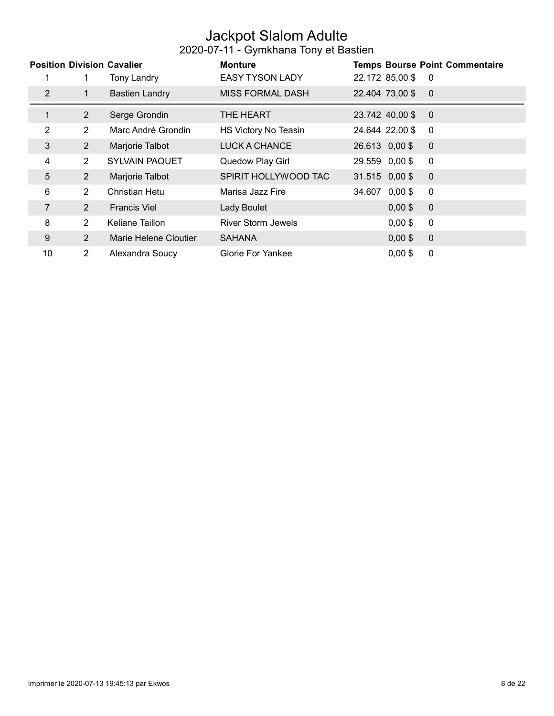### Jackpot Slalom Adulte

|                |                | <b>Position Division Cavalier</b> | <b>Monture</b>            |                  | <b>Temps Bourse Point Commentaire</b> |
|----------------|----------------|-----------------------------------|---------------------------|------------------|---------------------------------------|
|                |                | Tony Landry                       | <b>EASY TYSON LADY</b>    | 22.172 85,00 \$  | 0                                     |
| $\overline{2}$ |                | <b>Bastien Landry</b>             | <b>MISS FORMAL DASH</b>   | 22.404 73,00 \$  | $\overline{0}$                        |
| 1              | $\overline{2}$ | Serge Grondin                     | THE HEART                 | 23.742 40,00 \$  | $\overline{0}$                        |
| $\overline{2}$ | $\overline{2}$ | Marc André Grondin                | HS Victory No Teasin      | 24.644 22,00 \$  | 0                                     |
| 3              | $\overline{2}$ | Marjorie Talbot                   | LUCK A CHANCE             | 26.613 0,00 \$   | $\mathbf{0}$                          |
| 4              | $\overline{2}$ | <b>SYLVAIN PAQUET</b>             | Quedow Play Girl          | 29.559 0,00 \$   | 0                                     |
| 5              | $\overline{2}$ | Marjorie Talbot                   | SPIRIT HOLLYWOOD TAC      | $31.515$ 0,00 \$ | $\mathbf 0$                           |
| 6              | $\overline{2}$ | Christian Hetu                    | Marisa Jazz Fire          | 34.607 0,00 \$   | 0                                     |
| 7              | 2              | <b>Francis Viel</b>               | Lady Boulet               | $0,00$ \$        | $\mathbf{0}$                          |
| 8              | $\overline{2}$ | Keliane Taillon                   | <b>River Storm Jewels</b> | $0,00$ \$        | 0                                     |
| 9              | $\overline{2}$ | Marie Helene Cloutier             | <b>SAHANA</b>             | $0,00$ \$        | $\mathbf 0$                           |
| 10             | $\overline{2}$ | Alexandra Soucy                   | <b>Glorie For Yankee</b>  | $0,00$ \$        | 0                                     |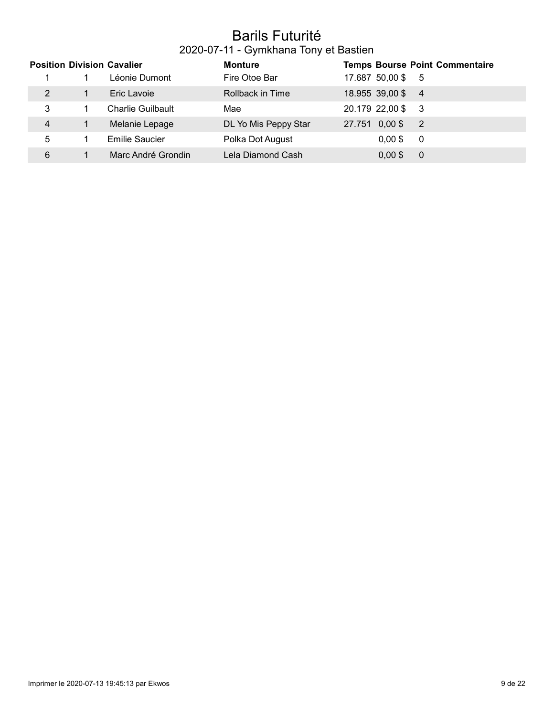#### Barils Futurité 2020-07-11 - Gymkhana Tony et Bastien

| <b>Position Division Cavalier</b> |                          | <b>Monture</b>       |                |                   | <b>Temps Bourse Point Commentaire</b> |
|-----------------------------------|--------------------------|----------------------|----------------|-------------------|---------------------------------------|
|                                   | Léonie Dumont            | Fire Otoe Bar        |                | 17.687 50,00 \$   | - 5                                   |
| 2                                 | Eric Lavoie              | Rollback in Time     |                | 18.955 39,00 \$ 4 |                                       |
| 3                                 | <b>Charlie Guilbault</b> | Mae                  |                | 20.179 22,00 \$   | - 3                                   |
| 4                                 | Melanie Lepage           | DL Yo Mis Peppy Star | 27.751 0,00 \$ |                   | $\overline{2}$                        |
| 5                                 | <b>Emilie Saucier</b>    | Polka Dot August     |                | $0.00$ \$         | 0                                     |
| 6                                 | Marc André Grondin       | Lela Diamond Cash    |                | $0.00$ \$         | 0                                     |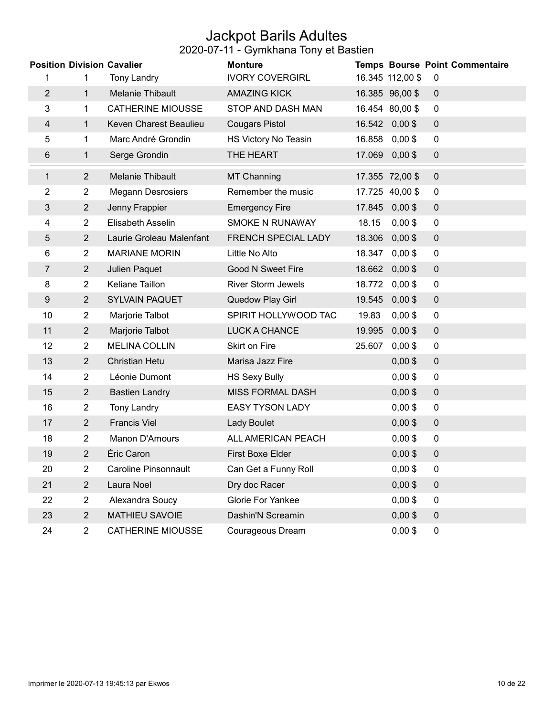### Jackpot Barils Adultes

|                  |                | <b>Position Division Cavalier</b> | <b>Monture</b>            |        |                  | Temps Bourse Point Commentaire |
|------------------|----------------|-----------------------------------|---------------------------|--------|------------------|--------------------------------|
| 1                | 1              | <b>Tony Landry</b>                | <b>IVORY COVERGIRL</b>    |        | 16.345 112,00 \$ | $\mathbf 0$                    |
| $\overline{2}$   | $\mathbf{1}$   | Melanie Thibault                  | <b>AMAZING KICK</b>       |        | 16.385 96,00 \$  | $\mathbf 0$                    |
| 3                | 1.             | <b>CATHERINE MIOUSSE</b>          | STOP AND DASH MAN         |        | 16.454 80,00 \$  | $\mathbf 0$                    |
| 4                | 1.             | Keven Charest Beaulieu            | <b>Cougars Pistol</b>     |        | 16.542 0,00 \$   | $\mathbf 0$                    |
| 5                | 1              | Marc André Grondin                | HS Victory No Teasin      | 16.858 | $0,00$ \$        | $\mathbf 0$                    |
| 6                | 1              | Serge Grondin                     | THE HEART                 | 17.069 | $0,00$ \$        | $\pmb{0}$                      |
| $\mathbf{1}$     | 2              | Melanie Thibault                  | <b>MT Channing</b>        |        | 17.355 72,00 \$  | $\mathbf 0$                    |
| $\overline{2}$   | $\overline{2}$ | <b>Megann Desrosiers</b>          | Remember the music        |        | 17.725 40,00 \$  | $\mathbf 0$                    |
| 3                | $\overline{2}$ | Jenny Frappier                    | <b>Emergency Fire</b>     |        | 17.845 0,00 \$   | $\mathbf 0$                    |
| 4                | $\overline{2}$ | Elisabeth Asselin                 | <b>SMOKE N RUNAWAY</b>    | 18.15  | $0,00$ \$        | $\mathbf 0$                    |
| 5                | $\overline{2}$ | Laurie Groleau Malenfant          | FRENCH SPECIAL LADY       | 18.306 | $0,00$ \$        | $\mathbf 0$                    |
| 6                | $\overline{2}$ | <b>MARIANE MORIN</b>              | Little No Alto            | 18.347 | $0,00$ \$        | $\pmb{0}$                      |
| $\overline{7}$   | $\overline{2}$ | Julien Paquet                     | <b>Good N Sweet Fire</b>  | 18.662 | $0,00$ \$        | $\pmb{0}$                      |
| 8                | $\overline{2}$ | Keliane Taillon                   | <b>River Storm Jewels</b> | 18.772 | $0,00$ \$        | $\pmb{0}$                      |
| $\boldsymbol{9}$ | $\overline{2}$ | <b>SYLVAIN PAQUET</b>             | <b>Quedow Play Girl</b>   | 19.545 | $0,00$ \$        | $\pmb{0}$                      |
| 10               | $\overline{2}$ | Marjorie Talbot                   | SPIRIT HOLLYWOOD TAC      | 19.83  | $0,00$ \$        | $\mathbf 0$                    |
| 11               | $\overline{2}$ | Marjorie Talbot                   | <b>LUCK A CHANCE</b>      | 19.995 | $0,00$ \$        | $\pmb{0}$                      |
| 12               | $\overline{2}$ | <b>MELINA COLLIN</b>              | Skirt on Fire             | 25.607 | $0,00$ \$        | $\pmb{0}$                      |
| 13               | $\overline{2}$ | <b>Christian Hetu</b>             | Marisa Jazz Fire          |        | $0,00$ \$        | $\pmb{0}$                      |
| 14               | $\overline{2}$ | Léonie Dumont                     | <b>HS Sexy Bully</b>      |        | $0,00$ \$        | $\pmb{0}$                      |
| 15               | $\overline{2}$ | <b>Bastien Landry</b>             | <b>MISS FORMAL DASH</b>   |        | $0,00$ \$        | $\pmb{0}$                      |
| 16               | $\overline{2}$ | <b>Tony Landry</b>                | <b>EASY TYSON LADY</b>    |        | $0,00$ \$        | $\mathbf 0$                    |
| 17               | $\overline{2}$ | <b>Francis Viel</b>               | Lady Boulet               |        | $0,00$ \$        | $\mathbf 0$                    |
| 18               | $\overline{2}$ | Manon D'Amours                    | ALL AMERICAN PEACH        |        | $0,00$ \$        | $\boldsymbol{0}$               |
| 19               | $\overline{2}$ | Éric Caron                        | <b>First Boxe Elder</b>   |        | $0,00$ \$        | $\pmb{0}$                      |
| 20               | $\overline{2}$ | <b>Caroline Pinsonnault</b>       | Can Get a Funny Roll      |        | $0,00$ \$        | $\mathbf 0$                    |
| 21               | $\overline{2}$ | Laura Noel                        | Dry doc Racer             |        | $0,00$ \$        | $\pmb{0}$                      |
| 22               | $\overline{2}$ | Alexandra Soucy                   | <b>Glorie For Yankee</b>  |        | $0,00$ \$        | $\mathbf 0$                    |
| 23               | $\overline{2}$ | <b>MATHIEU SAVOIE</b>             | Dashin'N Screamin         |        | $0,00$ \$        | $\mathbf 0$                    |
| 24               | $\overline{2}$ | <b>CATHERINE MIOUSSE</b>          | Courageous Dream          |        | $0,00$ \$        | 0                              |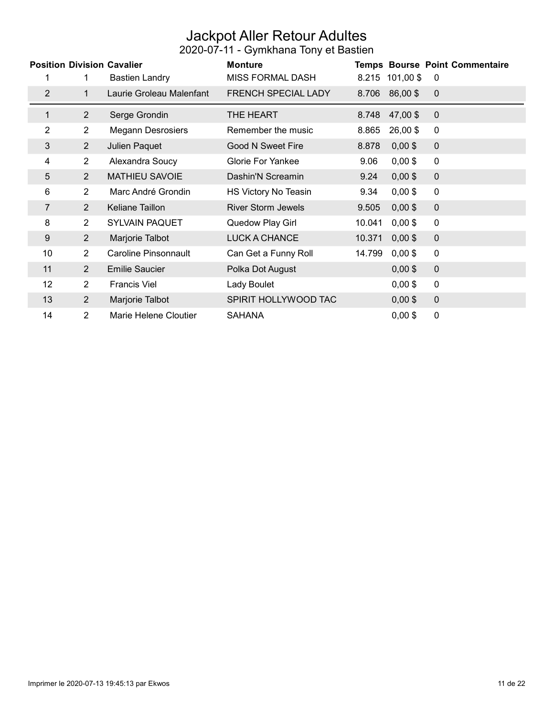### Jackpot Aller Retour Adultes

|                |                | <b>Position Division Cavalier</b> | <b>Monture</b>            |        |                 | <b>Temps Bourse Point Commentaire</b> |  |
|----------------|----------------|-----------------------------------|---------------------------|--------|-----------------|---------------------------------------|--|
| 1              |                | <b>Bastien Landry</b>             | <b>MISS FORMAL DASH</b>   |        | 8.215 101,00 \$ | 0                                     |  |
| $\overline{2}$ | 1              | Laurie Groleau Malenfant          | FRENCH SPECIAL LADY       | 8.706  | 86,00\$         | $\mathbf 0$                           |  |
| $\mathbf{1}$   | $\overline{2}$ | Serge Grondin                     | THE HEART                 | 8.748  | 47,00 \$        | $\mathbf 0$                           |  |
| $\overline{2}$ | $\overline{2}$ | <b>Megann Desrosiers</b>          | Remember the music        | 8.865  | 26,00\$         | 0                                     |  |
| 3              | $\overline{2}$ | Julien Paquet                     | <b>Good N Sweet Fire</b>  | 8.878  | $0,00$ \$       | $\pmb{0}$                             |  |
| 4              | $\overline{2}$ | Alexandra Soucy                   | <b>Glorie For Yankee</b>  | 9.06   | $0,00$ \$       | $\mathbf 0$                           |  |
| 5              | $\overline{2}$ | <b>MATHIEU SAVOIE</b>             | Dashin'N Screamin         | 9.24   | $0,00$ \$       | $\mathbf 0$                           |  |
| 6              | $\overline{2}$ | Marc André Grondin                | HS Victory No Teasin      | 9.34   | $0,00$ \$       | $\mathbf 0$                           |  |
| 7              | $\overline{2}$ | Keliane Taillon                   | <b>River Storm Jewels</b> | 9.505  | $0,00$ \$       | $\mathbf 0$                           |  |
| 8              | $\overline{2}$ | <b>SYLVAIN PAQUET</b>             | Quedow Play Girl          | 10.041 | $0,00$ \$       | $\mathbf 0$                           |  |
| 9              | $\overline{2}$ | Marjorie Talbot                   | LUCK A CHANCE             | 10.371 | $0,00$ \$       | $\pmb{0}$                             |  |
| 10             | $\overline{2}$ | Caroline Pinsonnault              | Can Get a Funny Roll      | 14.799 | $0,00$ \$       | 0                                     |  |
| 11             | $\overline{2}$ | <b>Emilie Saucier</b>             | Polka Dot August          |        | $0,00$ \$       | $\mathbf 0$                           |  |
| 12             | $\overline{2}$ | <b>Francis Viel</b>               | Lady Boulet               |        | $0,00$ \$       | $\mathbf 0$                           |  |
| 13             | $\overline{2}$ | Marjorie Talbot                   | SPIRIT HOLLYWOOD TAC      |        | $0,00$ \$       | $\mathbf 0$                           |  |
| 14             | $\overline{2}$ | Marie Helene Cloutier             | <b>SAHANA</b>             |        | $0,00$ \$       | $\mathbf 0$                           |  |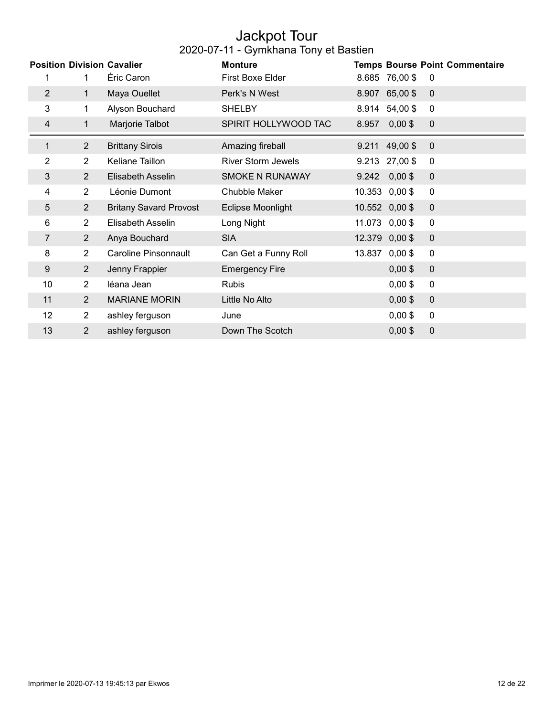#### Jackpot Tour 2020-07-11 - Gymkhana Tony et Bastien

|                |                | <b>Position Division Cavalier</b> | <b>Monture</b>            |        | <b>Temps Bourse Point Commentaire</b> |                  |  |  |
|----------------|----------------|-----------------------------------|---------------------------|--------|---------------------------------------|------------------|--|--|
| 1              | 1              | Éric Caron                        | First Boxe Elder          |        | 8.685 76,00 \$                        | 0                |  |  |
| $\overline{2}$ | 1              | Maya Ouellet                      | Perk's N West             | 8.907  | 65,00 \$                              | $\mathbf{0}$     |  |  |
| 3              | 1.             | Alyson Bouchard                   | <b>SHELBY</b>             | 8.914  | 54,00 \$                              | 0                |  |  |
| 4              |                | Marjorie Talbot                   | SPIRIT HOLLYWOOD TAC      | 8.957  | $0,00$ \$                             | $\mathbf 0$      |  |  |
| 1              | $\overline{2}$ | <b>Brittany Sirois</b>            | Amazing fireball          |        | $9.211$ 49,00\$                       | $\mathbf 0$      |  |  |
| 2              | $\overline{2}$ | Keliane Taillon                   | <b>River Storm Jewels</b> |        | $9.213$ 27,00\$                       | 0                |  |  |
| 3              | $\overline{2}$ | Elisabeth Asselin                 | <b>SMOKE N RUNAWAY</b>    | 9.242  | $0,00$ \$                             | 0                |  |  |
| 4              | $\overline{2}$ | Léonie Dumont                     | <b>Chubble Maker</b>      |        | 10.353 0,00 \$                        | 0                |  |  |
| 5              | $\overline{2}$ | <b>Britany Savard Provost</b>     | Eclipse Moonlight         |        | $10.552$ 0,00\$                       | $\mathbf 0$      |  |  |
| 6              | $\overline{2}$ | Elisabeth Asselin                 | Long Night                |        | 11.073 0,00 \$                        | $\mathbf 0$      |  |  |
| 7              | $\overline{2}$ | Anya Bouchard                     | <b>SIA</b>                |        | 12.379 0,00 \$                        | 0                |  |  |
| 8              | $\overline{2}$ | Caroline Pinsonnault              | Can Get a Funny Roll      | 13.837 | $0,00$ \$                             | $\mathbf 0$      |  |  |
| 9              | $\overline{2}$ | Jenny Frappier                    | <b>Emergency Fire</b>     |        | $0,00$ \$                             | 0                |  |  |
| 10             | $\overline{2}$ | léana Jean                        | <b>Rubis</b>              |        | $0,00$ \$                             | 0                |  |  |
| 11             | $\overline{2}$ | <b>MARIANE MORIN</b>              | Little No Alto            |        | $0,00$ \$                             | $\boldsymbol{0}$ |  |  |
| 12             | $\overline{2}$ | ashley ferguson                   | June                      |        | $0,00$ \$                             | $\mathbf 0$      |  |  |
| 13             | 2              | ashley ferguson                   | Down The Scotch           |        | $0,00$ \$                             | 0                |  |  |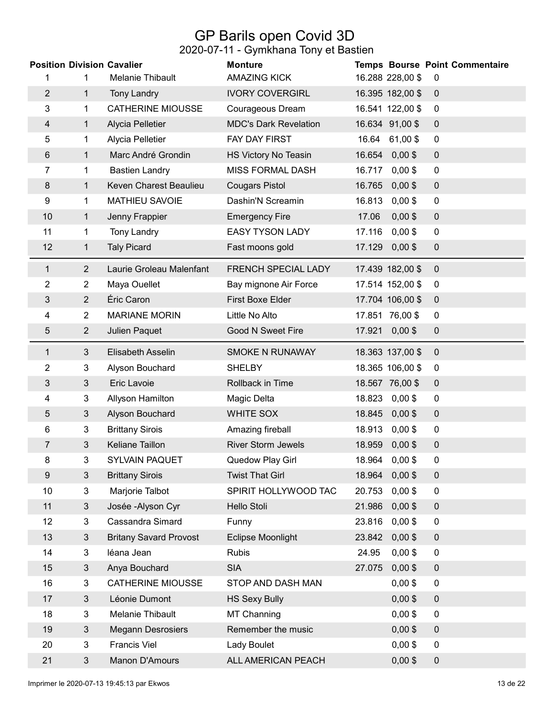## GP Barils open Covid 3D

|                |                | <b>Position Division Cavalier</b> | <b>Monture</b>               |        |                  | Temps Bourse Point Commentaire |
|----------------|----------------|-----------------------------------|------------------------------|--------|------------------|--------------------------------|
| 1              | 1              | Melanie Thibault                  | <b>AMAZING KICK</b>          |        | 16.288 228,00 \$ | 0                              |
| $\overline{2}$ | $\mathbf{1}$   | <b>Tony Landry</b>                | <b>IVORY COVERGIRL</b>       |        | 16.395 182,00 \$ | $\mathbf 0$                    |
| 3              | 1              | <b>CATHERINE MIOUSSE</b>          | Courageous Dream             |        | 16.541 122,00 \$ | 0                              |
| 4              | 1              | Alycia Pelletier                  | <b>MDC's Dark Revelation</b> |        | 16.634 91,00 \$  | $\pmb{0}$                      |
| 5              | 1              | Alycia Pelletier                  | FAY DAY FIRST                |        | 16.64 61,00 \$   | $\mathbf 0$                    |
| 6              | $\mathbf{1}$   | Marc André Grondin                | HS Victory No Teasin         | 16.654 | $0,00$ \$        | $\mathbf 0$                    |
| 7              | 1              | <b>Bastien Landry</b>             | <b>MISS FORMAL DASH</b>      | 16.717 | $0,00$ \$        | $\mathbf 0$                    |
| 8              | $\mathbf{1}$   | Keven Charest Beaulieu            | <b>Cougars Pistol</b>        | 16.765 | $0,00$ \$        | $\mathbf 0$                    |
| 9              | $\mathbf{1}$   | <b>MATHIEU SAVOIE</b>             | Dashin'N Screamin            | 16.813 | $0,00$ \$        | $\mathbf 0$                    |
| 10             | 1              | Jenny Frappier                    | <b>Emergency Fire</b>        | 17.06  | $0,00$ \$        | $\mathbf 0$                    |
| 11             | 1              | <b>Tony Landry</b>                | <b>EASY TYSON LADY</b>       | 17.116 | $0,00$ \$        | $\mathbf 0$                    |
| 12             | $\mathbf{1}$   | <b>Taly Picard</b>                | Fast moons gold              | 17.129 | $0,00$ \$        | $\pmb{0}$                      |
| 1              | $\overline{2}$ | Laurie Groleau Malenfant          | FRENCH SPECIAL LADY          |        | 17.439 182,00 \$ | $\mathbf 0$                    |
| 2              | $\overline{2}$ | Maya Ouellet                      | Bay mignone Air Force        |        | 17.514 152,00 \$ | $\mathbf 0$                    |
| 3              | $\overline{2}$ | Éric Caron                        | <b>First Boxe Elder</b>      |        | 17.704 106,00 \$ | $\mathbf 0$                    |
| 4              | $\overline{2}$ | <b>MARIANE MORIN</b>              | Little No Alto               |        | 17.851 76,00 \$  | 0                              |
| 5              | $\overline{2}$ | Julien Paquet                     | Good N Sweet Fire            | 17.921 | $0,00$ \$        | $\mathbf 0$                    |
| 1              | 3              | Elisabeth Asselin                 | <b>SMOKE N RUNAWAY</b>       |        | 18.363 137,00 \$ | $\mathbf 0$                    |
| 2              | 3              | Alyson Bouchard                   | <b>SHELBY</b>                |        | 18.365 106,00 \$ | 0                              |
| 3              | $\mathfrak{Z}$ | Eric Lavoie                       | Rollback in Time             |        | 18.567 76,00 \$  | $\mathbf 0$                    |
| 4              | 3              | Allyson Hamilton                  | Magic Delta                  | 18.823 | $0,00$ \$        | 0                              |
| 5              | $\mathbf{3}$   | Alyson Bouchard                   | WHITE SOX                    | 18.845 | $0,00$ \$        | $\mathbf 0$                    |
| 6              | 3              | <b>Brittany Sirois</b>            | Amazing fireball             | 18.913 | $0,00$ \$        | $\mathbf 0$                    |
| 7              | 3              | <b>Keliane Taillon</b>            | <b>River Storm Jewels</b>    |        | 18.959 0,00 \$   | $\mathbf 0$                    |
| 8              | 3              | <b>SYLVAIN PAQUET</b>             | Quedow Play Girl             | 18.964 | $0,00$ \$        | 0                              |
| 9              | 3              | <b>Brittany Sirois</b>            | <b>Twist That Girl</b>       | 18.964 | $0,00$ \$        | $\overline{0}$                 |
| 10             | 3              | Marjorie Talbot                   | SPIRIT HOLLYWOOD TAC         | 20.753 | $0,00$ \$        | $\mathbf 0$                    |
| 11             | $\mathfrak{S}$ | Josée - Alyson Cyr                | <b>Hello Stoli</b>           | 21.986 | $0,00$ \$        | $\boldsymbol{0}$               |
| 12             | $\mathbf{3}$   | Cassandra Simard                  | Funny                        | 23.816 | $0,00$ \$        | $\overline{0}$                 |
| 13             | $\mathbf{3}$   | <b>Britany Savard Provost</b>     | <b>Eclipse Moonlight</b>     | 23.842 | $0,00$ \$        | $\mathbf 0$                    |
| 14             | $\overline{3}$ | léana Jean                        | <b>Rubis</b>                 | 24.95  | $0,00$ \$        | $\overline{0}$                 |
| 15             | $\mathbf{3}$   | Anya Bouchard                     | <b>SIA</b>                   | 27.075 | $0,00$ \$        | $\boldsymbol{0}$               |
| 16             | 3              | <b>CATHERINE MIOUSSE</b>          | STOP AND DASH MAN            |        | $0,00$ \$        | $\overline{0}$                 |
| 17             | 3              | Léonie Dumont                     | <b>HS Sexy Bully</b>         |        | $0,00$ \$        | 0                              |
| 18             | 3              | Melanie Thibault                  | <b>MT Channing</b>           |        | $0,00$ \$        | $\overline{0}$                 |
| 19             | 3              | <b>Megann Desrosiers</b>          | Remember the music           |        | $0,00$ \$        | 0                              |
| 20             | 3              | <b>Francis Viel</b>               | Lady Boulet                  |        | $0,00$ \$        | $\mathbf 0$                    |
| 21             | 3              | Manon D'Amours                    | ALL AMERICAN PEACH           |        | $0,00$ \$        | 0                              |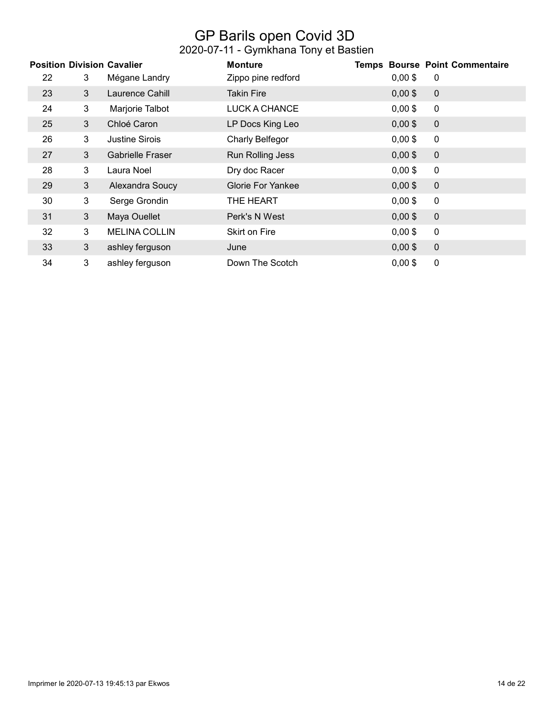## GP Barils open Covid 3D

|    |   | <b>Position Division Cavalier</b> | <b>Monture</b>           |           | <b>Temps Bourse Point Commentaire</b> |
|----|---|-----------------------------------|--------------------------|-----------|---------------------------------------|
| 22 | 3 | Mégane Landry                     | Zippo pine redford       | $0,00$ \$ | 0                                     |
| 23 | 3 | Laurence Cahill                   | Takin Fire               | $0,00$ \$ | $\mathbf 0$                           |
| 24 | 3 | Marjorie Talbot                   | LUCK A CHANCE            | $0,00$ \$ | $\mathbf 0$                           |
| 25 | 3 | Chloé Caron                       | LP Docs King Leo         | $0,00$ \$ | $\mathbf 0$                           |
| 26 | 3 | <b>Justine Sirois</b>             | Charly Belfegor          | $0,00$ \$ | $\mathbf 0$                           |
| 27 | 3 | <b>Gabrielle Fraser</b>           | Run Rolling Jess         | $0,00$ \$ | $\mathbf 0$                           |
| 28 | 3 | Laura Noel                        | Dry doc Racer            | $0,00$ \$ | 0                                     |
| 29 | 3 | Alexandra Soucy                   | <b>Glorie For Yankee</b> | $0,00$ \$ | $\mathbf 0$                           |
| 30 | 3 | Serge Grondin                     | THE HEART                | $0,00$ \$ | $\mathbf 0$                           |
| 31 | 3 | Maya Ouellet                      | Perk's N West            | $0,00$ \$ | $\mathbf 0$                           |
| 32 | 3 | <b>MELINA COLLIN</b>              | <b>Skirt on Fire</b>     | $0,00$ \$ | $\mathbf 0$                           |
| 33 | 3 | ashley ferguson                   | June                     | $0,00$ \$ | $\mathbf 0$                           |
| 34 | 3 | ashley ferguson                   | Down The Scotch          | $0,00$ \$ | $\mathbf 0$                           |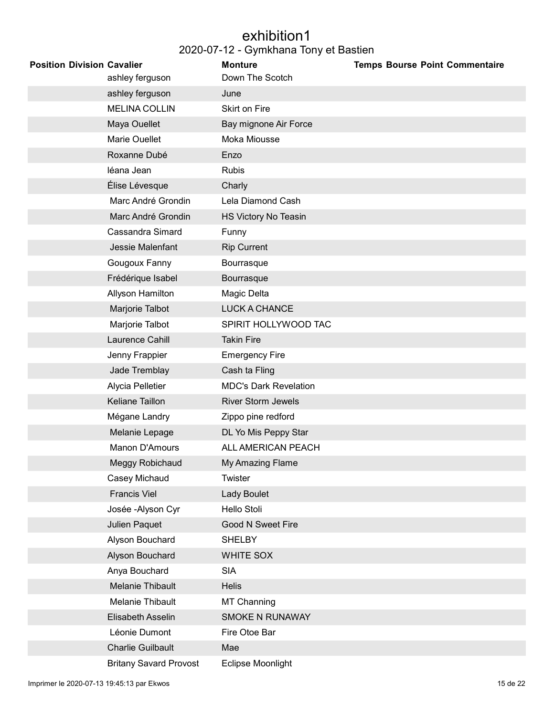#### exhibition1 2020-07-12 - Gymkhana Tony et Bastien

| <b>Position Division Cavalier</b> | ashley ferguson               | <b>Monture</b><br>Down The Scotch | <b>Temps Bourse Point Commentaire</b> |
|-----------------------------------|-------------------------------|-----------------------------------|---------------------------------------|
|                                   | ashley ferguson               | June                              |                                       |
|                                   | <b>MELINA COLLIN</b>          | Skirt on Fire                     |                                       |
|                                   | Maya Ouellet                  | Bay mignone Air Force             |                                       |
|                                   | Marie Ouellet                 | Moka Miousse                      |                                       |
|                                   | Roxanne Dubé                  | Enzo                              |                                       |
|                                   | léana Jean                    | <b>Rubis</b>                      |                                       |
|                                   | Élise Lévesque                | Charly                            |                                       |
|                                   | Marc André Grondin            | Lela Diamond Cash                 |                                       |
|                                   | Marc André Grondin            | HS Victory No Teasin              |                                       |
|                                   | Cassandra Simard              | Funny                             |                                       |
|                                   | Jessie Malenfant              | <b>Rip Current</b>                |                                       |
|                                   | Gougoux Fanny                 | Bourrasque                        |                                       |
|                                   | Frédérique Isabel             | Bourrasque                        |                                       |
|                                   | Allyson Hamilton              | Magic Delta                       |                                       |
|                                   | Marjorie Talbot               | LUCK A CHANCE                     |                                       |
|                                   | Marjorie Talbot               | SPIRIT HOLLYWOOD TAC              |                                       |
|                                   | Laurence Cahill               | <b>Takin Fire</b>                 |                                       |
|                                   | Jenny Frappier                | <b>Emergency Fire</b>             |                                       |
|                                   | Jade Tremblay                 | Cash ta Fling                     |                                       |
|                                   | Alycia Pelletier              | <b>MDC's Dark Revelation</b>      |                                       |
|                                   | Keliane Taillon               | <b>River Storm Jewels</b>         |                                       |
|                                   | Mégane Landry                 | Zippo pine redford                |                                       |
|                                   | Melanie Lepage                | DL Yo Mis Peppy Star              |                                       |
|                                   | Manon D'Amours                | ALL AMERICAN PEACH                |                                       |
|                                   | Meggy Robichaud               | My Amazing Flame                  |                                       |
|                                   | Casey Michaud                 | Twister                           |                                       |
|                                   | <b>Francis Viel</b>           | Lady Boulet                       |                                       |
|                                   | Josée - Alyson Cyr            | Hello Stoli                       |                                       |
|                                   | Julien Paquet                 | <b>Good N Sweet Fire</b>          |                                       |
|                                   | Alyson Bouchard               | <b>SHELBY</b>                     |                                       |
|                                   | Alyson Bouchard               | WHITE SOX                         |                                       |
|                                   | Anya Bouchard                 | <b>SIA</b>                        |                                       |
|                                   | <b>Melanie Thibault</b>       | <b>Helis</b>                      |                                       |
|                                   | Melanie Thibault              | <b>MT Channing</b>                |                                       |
|                                   | Elisabeth Asselin             | SMOKE N RUNAWAY                   |                                       |
|                                   | Léonie Dumont                 | Fire Otoe Bar                     |                                       |
|                                   | <b>Charlie Guilbault</b>      | Mae                               |                                       |
|                                   | <b>Britany Savard Provost</b> | Eclipse Moonlight                 |                                       |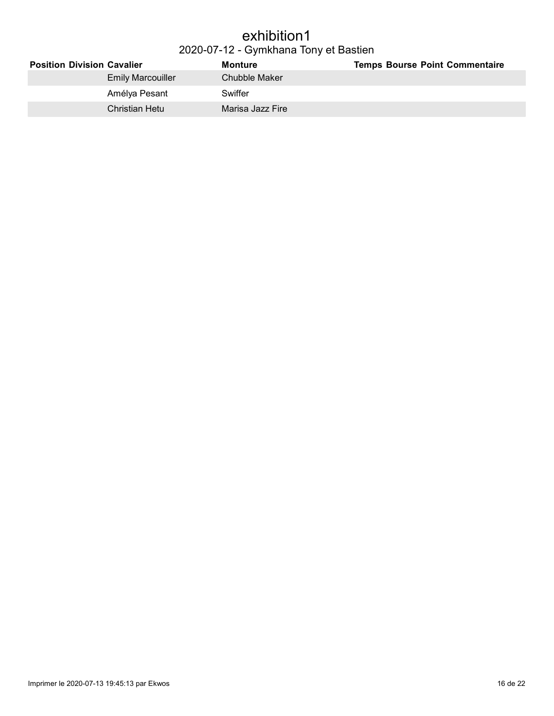#### exhibition1 2020-07-12 - Gymkhana Tony et Bastien

| <b>Position Division Cavalier</b> | Monture          | <b>Temps Bourse Point Commentaire</b> |
|-----------------------------------|------------------|---------------------------------------|
| <b>Emily Marcouiller</b>          | Chubble Maker    |                                       |
| Amélya Pesant                     | Swiffer          |                                       |
| Christian Hetu                    | Marisa Jazz Fire |                                       |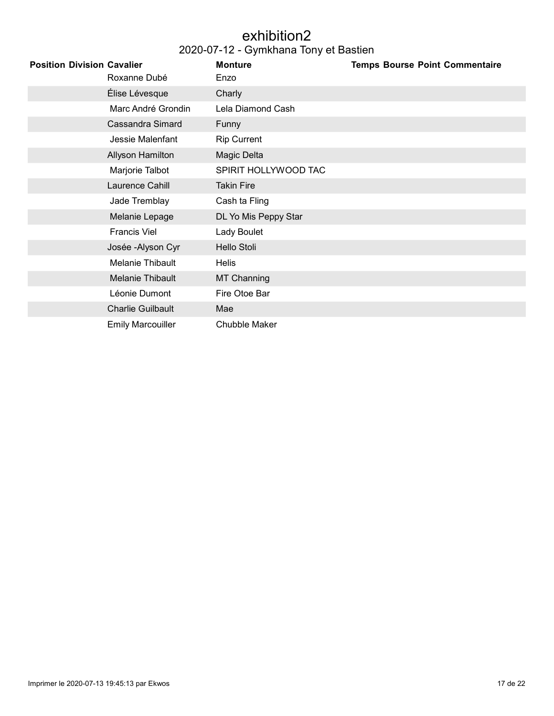### exhibition2

| <b>Position Division Cavalier</b> | Roxanne Dubé             | <b>Monture</b><br>Enzo | <b>Temps Bourse Point Commentaire</b> |
|-----------------------------------|--------------------------|------------------------|---------------------------------------|
|                                   | Élise Lévesque           | Charly                 |                                       |
|                                   | Marc André Grondin       | Lela Diamond Cash      |                                       |
|                                   | Cassandra Simard         | Funny                  |                                       |
|                                   | Jessie Malenfant         | <b>Rip Current</b>     |                                       |
|                                   | Allyson Hamilton         | Magic Delta            |                                       |
|                                   | Marjorie Talbot          | SPIRIT HOLLYWOOD TAC   |                                       |
|                                   | Laurence Cahill          | <b>Takin Fire</b>      |                                       |
|                                   | Jade Tremblay            | Cash ta Fling          |                                       |
|                                   | Melanie Lepage           | DL Yo Mis Peppy Star   |                                       |
|                                   | <b>Francis Viel</b>      | Lady Boulet            |                                       |
|                                   | Josée - Alyson Cyr       | Hello Stoli            |                                       |
|                                   | Melanie Thibault         | <b>Helis</b>           |                                       |
|                                   | Melanie Thibault         | <b>MT Channing</b>     |                                       |
|                                   | Léonie Dumont            | Fire Otoe Bar          |                                       |
|                                   | <b>Charlie Guilbault</b> | Mae                    |                                       |
|                                   | <b>Emily Marcouiller</b> | <b>Chubble Maker</b>   |                                       |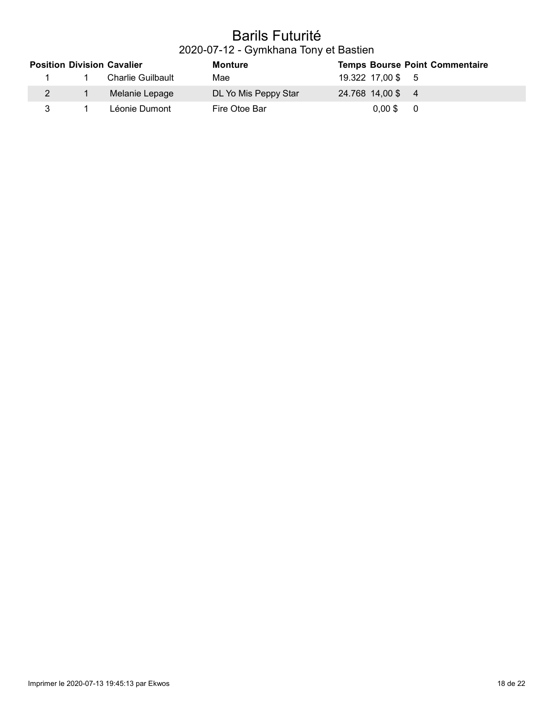# Barils Futurité

2020-07-12 - Gymkhana Tony et Bastien

|   | <b>Position Division Cavalier</b> | <b>Monture</b>       |                   | <b>Temps Bourse Point Commentaire</b> |
|---|-----------------------------------|----------------------|-------------------|---------------------------------------|
|   | Charlie Guilbault                 | Mae                  | 19.322 17,00 \$ 5 |                                       |
|   | Melanie Lepage                    | DL Yo Mis Peppy Star | 24.768 14,00 \$ 4 |                                       |
| 3 | Léonie Dumont                     | Fire Otoe Bar        | $0.00$ \$         | - 0                                   |

I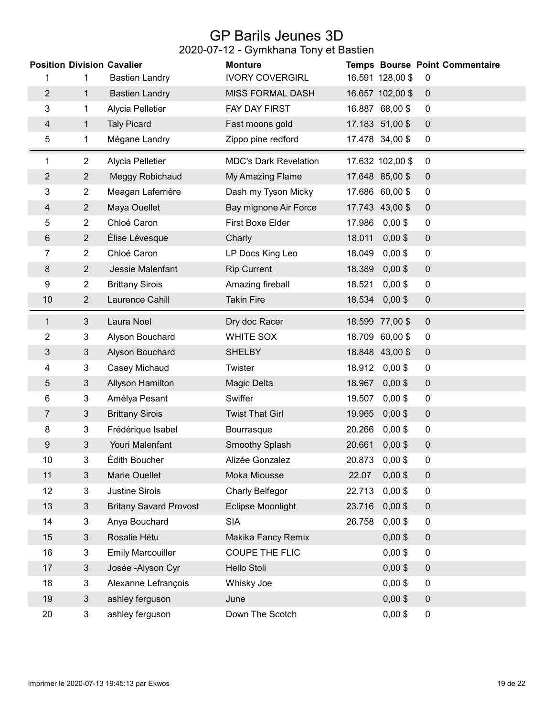## GP Barils Jeunes 3D

| <b>Position Division Cavalier</b> |                |                               | <b>Monture</b>               |        |                  | <b>Temps Bourse Point Commentaire</b> |
|-----------------------------------|----------------|-------------------------------|------------------------------|--------|------------------|---------------------------------------|
| 1                                 | 1              | <b>Bastien Landry</b>         | <b>IVORY COVERGIRL</b>       |        | 16.591 128,00 \$ | 0                                     |
| $\overline{2}$                    | $\mathbf 1$    | <b>Bastien Landry</b>         | <b>MISS FORMAL DASH</b>      |        | 16.657 102,00 \$ | $\mathbf 0$                           |
| 3                                 | 1              | Alycia Pelletier              | FAY DAY FIRST                |        | 16.887 68,00 \$  | $\pmb{0}$                             |
| $\overline{4}$                    | $\mathbf{1}$   | <b>Taly Picard</b>            | Fast moons gold              |        | 17.183 51,00 \$  | $\pmb{0}$                             |
| 5                                 | 1              | Mégane Landry                 | Zippo pine redford           |        | 17.478 34,00 \$  | $\pmb{0}$                             |
| 1                                 | $\overline{2}$ | Alycia Pelletier              | <b>MDC's Dark Revelation</b> |        | 17.632 102,00 \$ | $\mathbf 0$                           |
| $\overline{2}$                    | $\overline{2}$ | Meggy Robichaud               | My Amazing Flame             |        | 17.648 85,00 \$  | $\pmb{0}$                             |
| 3                                 | $\overline{2}$ | Meagan Laferrière             | Dash my Tyson Micky          |        | 17.686 60,00 \$  | $\mathbf 0$                           |
| 4                                 | $\overline{2}$ | Maya Ouellet                  | Bay mignone Air Force        |        | 17.743 43,00 \$  | $\pmb{0}$                             |
| 5                                 | $\overline{2}$ | Chloé Caron                   | First Boxe Elder             | 17.986 | $0,00$ \$        | $\pmb{0}$                             |
| 6                                 | $\overline{2}$ | Élise Lévesque                | Charly                       | 18.011 | $0,00$ \$        | $\pmb{0}$                             |
| 7                                 | $\overline{2}$ | Chloé Caron                   | LP Docs King Leo             | 18.049 | $0,00$ \$        | $\pmb{0}$                             |
| 8                                 | $\overline{2}$ | Jessie Malenfant              | <b>Rip Current</b>           | 18.389 | $0,00$ \$        | $\pmb{0}$                             |
| 9                                 | $\overline{2}$ | <b>Brittany Sirois</b>        | Amazing fireball             | 18.521 | $0,00$ \$        | $\pmb{0}$                             |
| 10                                | $\overline{2}$ | Laurence Cahill               | <b>Takin Fire</b>            | 18.534 | $0,00$ \$        | $\pmb{0}$                             |
| 1                                 | $\mathfrak{Z}$ | Laura Noel                    | Dry doc Racer                |        | 18.599 77,00 \$  | $\pmb{0}$                             |
| 2                                 | 3              | Alyson Bouchard               | <b>WHITE SOX</b>             |        | 18.709 60,00 \$  | 0                                     |
| 3                                 | $\mathfrak{S}$ | Alyson Bouchard               | <b>SHELBY</b>                |        | 18.848 43,00 \$  | $\pmb{0}$                             |
| 4                                 | 3              | Casey Michaud                 | Twister                      | 18.912 | $0,00$ \$        | 0                                     |
| 5                                 | $\mathfrak{Z}$ | Allyson Hamilton              | Magic Delta                  | 18.967 | $0,00$ \$        | $\pmb{0}$                             |
| 6                                 | 3              | Amélya Pesant                 | Swiffer                      | 19.507 | $0,00$ \$        | $\pmb{0}$                             |
| 7                                 | $\mathfrak{Z}$ | <b>Brittany Sirois</b>        | <b>Twist That Girl</b>       | 19.965 | $0,00$ \$        | $\pmb{0}$                             |
| 8                                 | 3              | Frédérique Isabel             | Bourrasque                   | 20.266 | $0,00$ \$        | $\overline{0}$                        |
| 9                                 | 3              | Youri Malenfant               | <b>Smoothy Splash</b>        | 20.661 | $0,00$ \$        | $\pmb{0}$                             |
| 10                                | 3              | Édith Boucher                 | Alizée Gonzalez              | 20.873 | $0,00$ \$        | 0                                     |
| 11                                | $\mathfrak{S}$ | Marie Ouellet                 | Moka Miousse                 | 22.07  | $0,00$ \$        | $\pmb{0}$                             |
| 12                                | 3              | <b>Justine Sirois</b>         | <b>Charly Belfegor</b>       | 22.713 | $0,00$ \$        | $\pmb{0}$                             |
| 13                                | 3              | <b>Britany Savard Provost</b> | <b>Eclipse Moonlight</b>     | 23.716 | $0,00$ \$        | $\pmb{0}$                             |
| 14                                | 3              | Anya Bouchard                 | <b>SIA</b>                   | 26.758 | $0,00$ \$        | 0                                     |
| 15                                | 3              | Rosalie Hétu                  | Makika Fancy Remix           |        | $0,00$ \$        | 0                                     |
| 16                                | 3              | <b>Emily Marcouiller</b>      | <b>COUPE THE FLIC</b>        |        | $0,00$ \$        | $\pmb{0}$                             |
| 17                                | $\mathfrak{Z}$ | Josée - Alyson Cyr            | <b>Hello Stoli</b>           |        | $0,00$ \$        | $\pmb{0}$                             |
| 18                                | 3              | Alexanne Lefrançois           | Whisky Joe                   |        | $0,00$ \$        | $\pmb{0}$                             |
| 19                                | $\mathfrak{S}$ | ashley ferguson               | June                         |        | $0,00$ \$        | $\pmb{0}$                             |
| 20                                | 3              | ashley ferguson               | Down The Scotch              |        | $0,00$ \$        | $\pmb{0}$                             |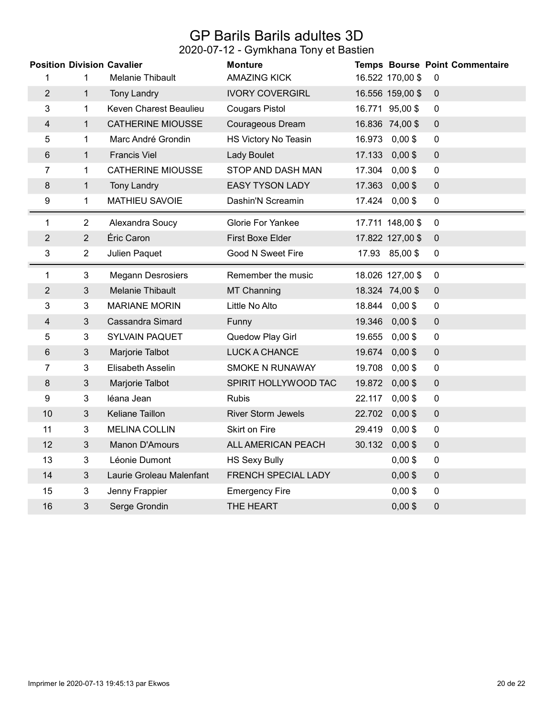## GP Barils Barils adultes 3D

|                  |                | <b>Position Division Cavalier</b> | <b>Monture</b>             |        |                  | <b>Temps Bourse Point Commentaire</b> |
|------------------|----------------|-----------------------------------|----------------------------|--------|------------------|---------------------------------------|
| 1                | 1              | Melanie Thibault                  | <b>AMAZING KICK</b>        |        | 16.522 170,00 \$ | 0                                     |
| $\overline{2}$   | $\mathbf{1}$   | <b>Tony Landry</b>                | <b>IVORY COVERGIRL</b>     |        | 16.556 159,00 \$ | $\mathbf 0$                           |
| 3                | 1              | Keven Charest Beaulieu            | <b>Cougars Pistol</b>      |        | 16.771 95,00 \$  | $\mathbf 0$                           |
| 4                | $\mathbf{1}$   | <b>CATHERINE MIOUSSE</b>          | Courageous Dream           |        | 16.836 74,00 \$  | $\mathbf 0$                           |
| 5                | 1              | Marc André Grondin                | HS Victory No Teasin       |        | 16.973 0,00 \$   | $\mathbf 0$                           |
| $\,6\,$          | $\mathbf{1}$   | <b>Francis Viel</b>               | Lady Boulet                | 17.133 | $0,00$ \$        | $\pmb{0}$                             |
| 7                | 1              | <b>CATHERINE MIOUSSE</b>          | STOP AND DASH MAN          | 17.304 | $0,00$ \$        | $\mathbf 0$                           |
| $\bf 8$          | $\mathbf{1}$   | <b>Tony Landry</b>                | <b>EASY TYSON LADY</b>     |        | 17.363 0,00 \$   | $\pmb{0}$                             |
| 9                | $\mathbf 1$    | <b>MATHIEU SAVOIE</b>             | Dashin'N Screamin          |        | 17.424 0,00 \$   | $\pmb{0}$                             |
| 1                | $\overline{2}$ | Alexandra Soucy                   | <b>Glorie For Yankee</b>   |        | 17.711 148,00 \$ | $\mathbf 0$                           |
| $\overline{2}$   | $\overline{2}$ | Éric Caron                        | First Boxe Elder           |        | 17.822 127,00 \$ | $\mathbf 0$                           |
| 3                | $\overline{2}$ | Julien Paquet                     | Good N Sweet Fire          |        | 17.93 85,00 \$   | $\pmb{0}$                             |
| 1                | 3              | <b>Megann Desrosiers</b>          | Remember the music         |        | 18.026 127,00 \$ | $\mathbf 0$                           |
| $\overline{2}$   | $\sqrt{3}$     | <b>Melanie Thibault</b>           | MT Channing                |        | 18.324 74,00 \$  | $\pmb{0}$                             |
| 3                | 3              | <b>MARIANE MORIN</b>              | Little No Alto             |        | 18.844 0,00 \$   | $\mathbf 0$                           |
| 4                | 3              | <b>Cassandra Simard</b>           | Funny                      |        | 19.346 0,00 \$   | $\pmb{0}$                             |
| 5                | 3              | SYLVAIN PAQUET                    | Quedow Play Girl           | 19.655 | $0,00$ \$        | $\pmb{0}$                             |
| $\,6\,$          | $\mathfrak{B}$ | Marjorie Talbot                   | <b>LUCK A CHANCE</b>       | 19.674 | $0,00$ \$        | $\pmb{0}$                             |
| 7                | 3              | Elisabeth Asselin                 | SMOKE N RUNAWAY            | 19.708 | $0,00$ \$        | $\overline{0}$                        |
| 8                | $\mathfrak{Z}$ | Marjorie Talbot                   | SPIRIT HOLLYWOOD TAC       | 19.872 | $0,00$ \$        | $\boldsymbol{0}$                      |
| $\boldsymbol{9}$ | 3              | léana Jean                        | <b>Rubis</b>               | 22.117 | $0,00$ \$        | $\pmb{0}$                             |
| 10               | $\sqrt{3}$     | Keliane Taillon                   | <b>River Storm Jewels</b>  | 22.702 | $0,00$ \$        | $\pmb{0}$                             |
| 11               | 3              | <b>MELINA COLLIN</b>              | Skirt on Fire              | 29.419 | $0,00$ \$        | $\pmb{0}$                             |
| 12               | 3              | Manon D'Amours                    | ALL AMERICAN PEACH         | 30.132 | $0,00$ \$        | $\pmb{0}$                             |
| 13               | 3              | Léonie Dumont                     | <b>HS Sexy Bully</b>       |        | $0,00$ \$        | $\pmb{0}$                             |
| 14               | 3              | Laurie Groleau Malenfant          | <b>FRENCH SPECIAL LADY</b> |        | $0,00$ \$        | $\mathbf 0$                           |
| 15               | 3              | Jenny Frappier                    | <b>Emergency Fire</b>      |        | $0,00$ \$        | $\overline{0}$                        |
| 16               | 3              | Serge Grondin                     | THE HEART                  |        | $0,00$ \$        | $\pmb{0}$                             |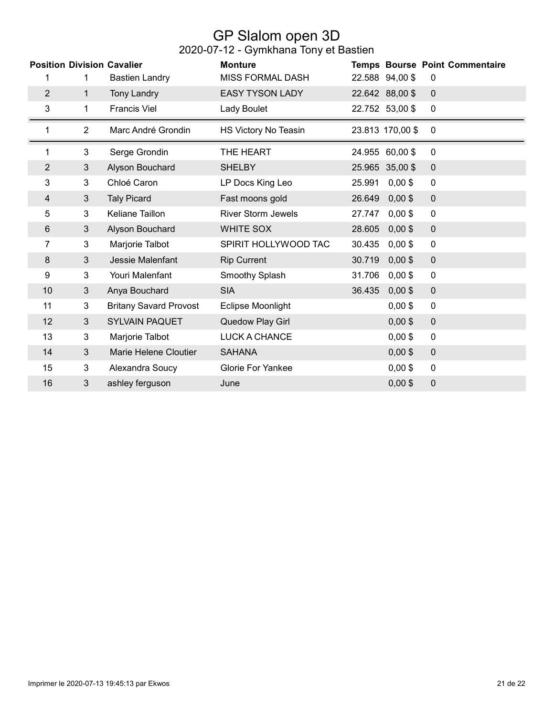### GP Slalom open 3D

|                |                | <b>Position Division Cavalier</b> | <b>Monture</b>            |        |                  | <b>Temps Bourse Point Commentaire</b> |
|----------------|----------------|-----------------------------------|---------------------------|--------|------------------|---------------------------------------|
| 1              | 1              | <b>Bastien Landry</b>             | <b>MISS FORMAL DASH</b>   |        | 22.588 94,00 \$  | 0                                     |
| $\overline{2}$ | $\mathbf{1}$   | <b>Tony Landry</b>                | <b>EASY TYSON LADY</b>    |        | 22.642 88,00 \$  | $\overline{0}$                        |
| 3              | 1              | <b>Francis Viel</b>               | Lady Boulet               |        | 22.752 53,00 \$  | 0                                     |
| 1              | $\overline{2}$ | Marc André Grondin                | HS Victory No Teasin      |        | 23.813 170,00 \$ | $\mathbf 0$                           |
| 1              | 3              | Serge Grondin                     | THE HEART                 |        | 24.955 60,00 \$  | 0                                     |
| $\overline{2}$ | 3              | Alyson Bouchard                   | <b>SHELBY</b>             |        | 25.965 35,00 \$  | $\mathbf 0$                           |
| 3              | 3              | Chloé Caron                       | LP Docs King Leo          | 25.991 | $0,00$ \$        | 0                                     |
| 4              | 3              | <b>Taly Picard</b>                | Fast moons gold           | 26.649 | $0,00$ \$        | $\mathbf 0$                           |
| 5              | 3              | Keliane Taillon                   | <b>River Storm Jewels</b> | 27.747 | $0,00$ \$        | $\mathbf 0$                           |
| $6\phantom{1}$ | $\mathfrak{S}$ | Alyson Bouchard                   | <b>WHITE SOX</b>          | 28.605 | $0,00$ \$        | $\mathbf 0$                           |
| 7              | 3              | Marjorie Talbot                   | SPIRIT HOLLYWOOD TAC      | 30.435 | $0,00$ \$        | $\pmb{0}$                             |
| 8              | 3              | Jessie Malenfant                  | <b>Rip Current</b>        | 30.719 | $0,00$ \$        | $\mathbf 0$                           |
| 9              | 3              | Youri Malenfant                   | Smoothy Splash            | 31.706 | $0,00$ \$        | $\pmb{0}$                             |
| 10             | 3              | Anya Bouchard                     | <b>SIA</b>                | 36.435 | $0,00$ \$        | $\mathbf 0$                           |
| 11             | 3              | <b>Britany Savard Provost</b>     | <b>Eclipse Moonlight</b>  |        | $0,00$ \$        | $\mathbf 0$                           |
| 12             | 3              | <b>SYLVAIN PAQUET</b>             | Quedow Play Girl          |        | $0,00$ \$        | $\mathbf 0$                           |
| 13             | 3              | Marjorie Talbot                   | LUCK A CHANCE             |        | $0,00$ \$        | $\mathbf 0$                           |
| 14             | 3              | Marie Helene Cloutier             | <b>SAHANA</b>             |        | $0,00$ \$        | $\mathbf 0$                           |
| 15             | 3              | Alexandra Soucy                   | <b>Glorie For Yankee</b>  |        | $0,00$ \$        | $\mathbf 0$                           |
| 16             | 3              | ashley ferguson                   | June                      |        | $0,00$ \$        | $\pmb{0}$                             |